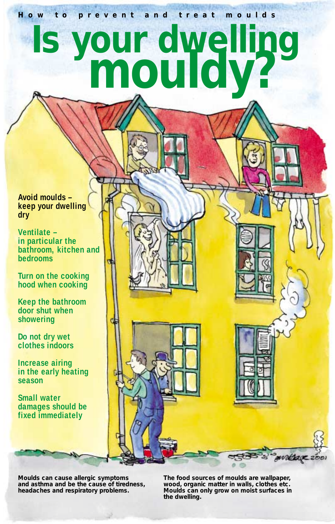**How to prevent and treat moulds**

# **Is your dwelling mouldy?**

**Avoid moulds – keep your dwelling dry**

**Ventilate – in particular the bathroom, kitchen and bedrooms**

**Turn on the cooking hood when cooking**

**Keep the bathroom door shut when showering**

**Do not dry wet clothes indoors**

**Increase airing in the early heating season**

**Small water damages should be fixed immediately**

**Moulds can cause allergic symptoms and asthma and be the cause of tiredness, headaches and respiratory problems.**

**The food sources of moulds are wallpaper, wood, organic matter in walls, clothes etc. Moulds can only grow on moist surfaces in the dwelling.**

waldage 2001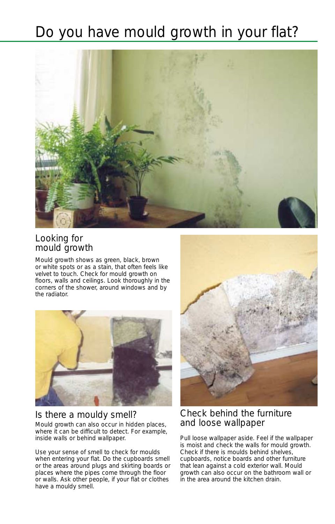# Do you have mould growth in your flat?



#### Looking for mould growth

Mould growth shows as green, black, brown or white spots or as a stain, that often feels like velvet to touch. Check for mould growth on floors, walls and ceilings. Look thoroughly in the corners of the shower, around windows and by the radiator.



# Is there a mouldy smell?

Mould growth can also occur in hidden places, where it can be difficult to detect. For example, inside walls or behind wallpaper.

Use your sense of smell to check for moulds when entering your flat. Do the cupboards smell or the areas around plugs and skirting boards or places where the pipes come through the floor or walls. Ask other people, if your flat or clothes have a mouldy smell.



#### Check behind the furniture and loose wallpaper

Pull loose wallpaper aside. Feel if the wallpaper is moist and check the walls for mould growth. Check if there is moulds behind shelves, cupboards, notice boards and other furniture that lean against a cold exterior wall. Mould growth can also occur on the bathroom wall or in the area around the kitchen drain.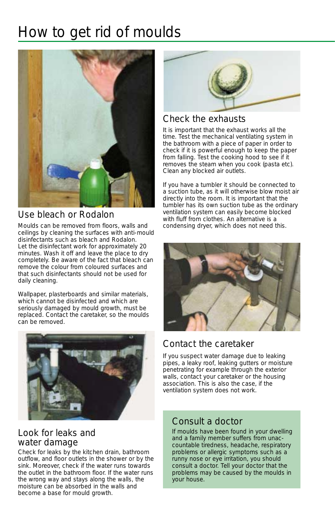# How to get rid of moulds



## Use bleach or Rodalon

Moulds can be removed from floors, walls and ceilings by cleaning the surfaces with anti-mould disinfectants such as bleach and Rodalon. Let the disinfectant work for approximately 20 minutes. Wash it off and leave the place to dry completely. Be aware of the fact that bleach can remove the colour from coloured surfaces and that such disinfectants should not be used for daily cleaning.

Wallpaper, plasterboards and similar materials, which cannot be disinfected and which are seriously damaged by mould growth, must be replaced. Contact the caretaker, so the moulds can be removed.



#### Look for leaks and water damage

Check for leaks by the kitchen drain, bathroom outflow, and floor outlets in the shower or by the sink. Moreover, check if the water runs towards the outlet in the bathroom floor. If the water runs the wrong way and stays along the walls, the moisture can be absorbed in the walls and become a base for mould growth.



## Check the exhausts

It is important that the exhaust works all the time. Test the mechanical ventilating system in the bathroom with a piece of paper in order to check if it is powerful enough to keep the paper from falling. Test the cooking hood to see if it removes the steam when you cook (pasta etc). Clean any blocked air outlets.

If you have a tumbler it should be connected to a suction tube, as it will otherwise blow moist air directly into the room. It is important that the tumbler has its own suction tube as the ordinary ventilation system can easily become blocked with fluff from clothes. An alternative is a condensing dryer, which does not need this.



# Contact the caretaker

If you suspect water damage due to leaking pipes, a leaky roof, leaking gutters or moisture penetrating for example through the exterior walls, contact your caretaker or the housing association. This is also the case, if the ventilation system does not work.

#### Consult a doctor

If moulds have been found in your dwelling and a family member suffers from unaccountable tiredness, headache, respiratory problems or allergic symptoms such as a runny nose or eye irritation, you should consult a doctor. Tell your doctor that the problems may be caused by the moulds in your house.